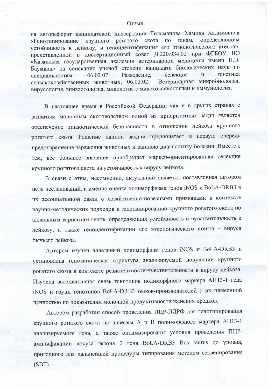## Отзыв

на автореферат кандидатской диссертации Гильманова Хамида Халимовича «Генотипирование крупного рогатого скота по генам, определяющим устойчивость к лейкозу, и геноидентификация его этиологического агента», представленной в диссертационный совет Д 220.034.02 при ФГБОУ ВО «Казанская государственная академия ветеринарной медицины имени Н.Э. Баумана» на соискание ученой степени кандидата биологических наук по генетика  $06.02.07$ Развеление. селекция  $\mathbf{H}$ специальностям: Ветеринарная микробиология, сельскохозяйственных животных; 06.02.02 вирусология, эпизоотология, микология с микотоксикологией и иммунология.

В настоящее время в Российской Федерации как и в других странах с развитым молочным скотоводством одной из приоритетных задач является обеспечение эпизоотической безопасности в отношении лейкоза крупного рогатого скота. Решение данной задачи предполагает в первую очередь предотвращение заражения животных и раннюю диагностику болезни. Вместе с тем, все большее значение приобретает маркер-ориентированная селекция крупного рогатого скота на устойчивость к вирусу лейкоза.

В связи с этим, несомненно, актуальной является поставленная автором цель исследований, а именно оценка полиморфизма генов iNOS и BoLA-DRB3 в их ассоциативной связи с хозяйственно-полезными признаками в контексте научно-методических подходов к генотипированию крупного рогатого скота по аллельным вариантам генов, определяющих устойчивость и чувствительность к лейкозу, а также геноидентификации его этиологического агента - вируса бычьего лейкоза.

Автором изучен аллельный полиморфизм генов iNOS и BoLA-DRB3 и установлена генотипическая структура анализируемой популяции крупного рогатого скота в контексте резистентности-чувствительности к вирусу лейкоза. Изучена ассоциативная связь генотипов полиморфного маркера АН13-1 гена iNOS и групп генотипов BoLA-DRB3 быков-производителей с их племенной ценностью по показателям молочной продуктивности женских предков.

Автором разработан способ проведения ПЦР-ПДРФ для генотипирования крупного рогатого скота по аллелям А и В полиморфного маркера АН13-1 анализируемого гена, а также оптимизированы условия проведения ПЦРамплификации локуса экзона 2 гена BoLA-DRB3 Bos taurus до уровня, пригодного для дальнейшей процедуры типирования методом секвенирования  $(SBT)$ .